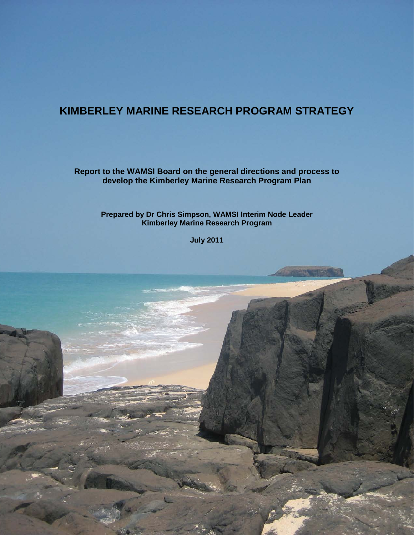# **KIMBERLEY MARINE RESEARCH PROGRAM STRATEGY**

**Report to the WAMSI Board on the general directions and process to develop the Kimberley Marine Research Program Plan**

**Prepared by Dr Chris Simpson, WAMSI Interim Node Leader Kimberley Marine Research Program**

**July 2011**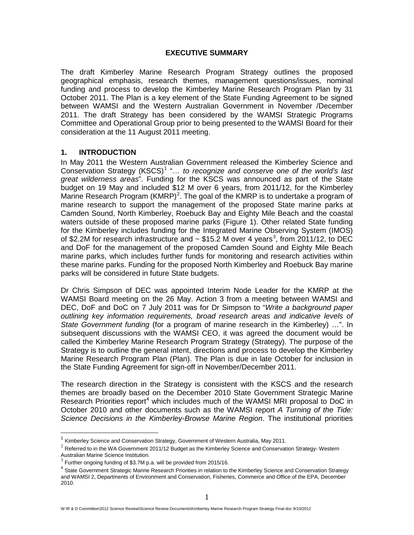#### **EXECUTIVE SUMMARY**

The draft Kimberley Marine Research Program Strategy outlines the proposed geographical emphasis, research themes, management questions/issues, nominal funding and process to develop the Kimberley Marine Research Program Plan by 31 October 2011. The Plan is a key element of the State Funding Agreement to be signed between WAMSI and the Western Australian Government in November /December 2011. The draft Strategy has been considered by the WAMSI Strategic Programs Committee and Operational Group prior to being presented to the WAMSI Board for their consideration at the 11 August 2011 meeting.

### **1. INTRODUCTION**

In May 2011 the Western Australian Government released the Kimberley Science and Conservation Strategy (KSCS) [1](#page-1-0) "… *to recognize and conserve one of the world's last great wilderness areas*". Funding for the KSCS was announced as part of the State budget on 19 May and included \$12 M over 6 years, from 2011/12, for the Kimberley Marine Research Program (KMRP)<sup>[2](#page-1-1)</sup>. The goal of the KMRP is to undertake a program of marine research to support the management of the proposed State marine parks at Camden Sound, North Kimberley, Roebuck Bay and Eighty Mile Beach and the coastal waters outside of these proposed marine parks (Figure 1). Other related State funding for the Kimberley includes funding for the Integrated Marine Observing System (IMOS) of \$2.2M for research infrastructure and  $\sim$  \$15.2 M over 4 years<sup>[3](#page-1-2)</sup>, from 2011/12, to DEC and DoF for the management of the proposed Camden Sound and Eighty Mile Beach marine parks, which includes further funds for monitoring and research activities within these marine parks. Funding for the proposed North Kimberley and Roebuck Bay marine parks will be considered in future State budgets.

Dr Chris Simpson of DEC was appointed Interim Node Leader for the KMRP at the WAMSI Board meeting on the 26 May. Action 3 from a meeting between WAMSI and DEC, DoF and DoC on 7 July 2011 was for Dr Simpson to "*Write a background paper outlining key information requirements, broad research areas and indicative levels of State Government funding* (for a program of marine research in the Kimberley) …". In subsequent discussions with the WAMSI CEO, it was agreed the document would be called the Kimberley Marine Research Program Strategy (Strategy). The purpose of the Strategy is to outline the general intent, directions and process to develop the Kimberley Marine Research Program Plan (Plan). The Plan is due in late October for inclusion in the State Funding Agreement for sign-off in November/December 2011.

The research direction in the Strategy is consistent with the KSCS and the research themes are broadly based on the December 2010 State Government Strategic Marine Research Priorities report<sup>[4](#page-1-3)</sup> which includes much of the WAMSI MRI proposal to DoC in October 2010 and other documents such as the WAMSI report *A Turning of the Tide: Science Decisions in the Kimberley-Browse Marine Region*. The institutional priorities

<span id="page-1-1"></span><span id="page-1-0"></span><sup>&</sup>lt;sup>1</sup> Kimberley Science and Conservation Strategy, Government of Western Australia, May 2011.<br><sup>2</sup> Referred to in the WA Government 2011/12 Budget as the Kimberley Science and Conservation Strategy- Western Australian Marine Science Institution.

<span id="page-1-2"></span> $3$  Further ongoing funding of \$3.7M p.a. will be provided from 2015/16.

<span id="page-1-3"></span><sup>4</sup> State Government Strategic Marine Research Priorities in relation to the Kimberley Science and Conservation Strategy and WAMSI 2, Departments of Environment and Conservation, Fisheries, Commerce and Office of the EPA, December 2010.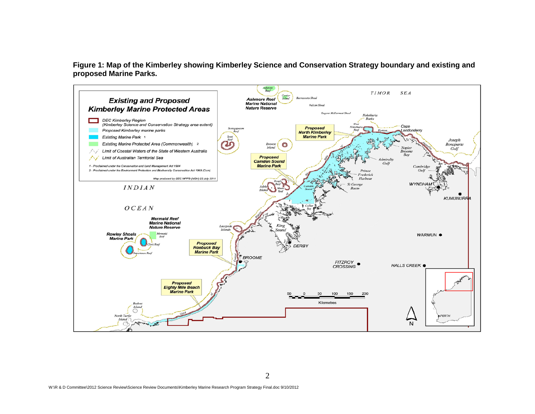**Figure 1: Map of the Kimberley showing Kimberley Science and Conservation Strategy boundary and existing and proposed Marine Parks.**

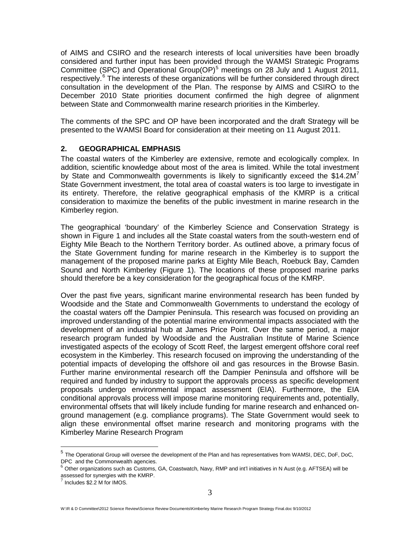of AIMS and CSIRO and the research interests of local universities have been broadly considered and further input has been provided through the WAMSI Strategic Programs Committee (SPC) and Operational Group(OP)<sup>[5](#page-3-0)</sup> meetings on 28 July and 1 August 2011, respectively.<sup>[6](#page-3-1)</sup> The interests of these organizations will be further considered through direct consultation in the development of the Plan. The response by AIMS and CSIRO to the December 2010 State priorities document confirmed the high degree of alignment between State and Commonwealth marine research priorities in the Kimberley.

The comments of the SPC and OP have been incorporated and the draft Strategy will be presented to the WAMSI Board for consideration at their meeting on 11 August 2011.

### **2. GEOGRAPHICAL EMPHASIS**

The coastal waters of the Kimberley are extensive, remote and ecologically complex. In addition, scientific knowledge about most of the area is limited. While the total investment by State and Commonwealth governments is likely to significantly exceed the \$14.2 $M<sup>7</sup>$  $M<sup>7</sup>$  $M<sup>7</sup>$ State Government investment, the total area of coastal waters is too large to investigate in its entirety. Therefore, the relative geographical emphasis of the KMRP is a critical consideration to maximize the benefits of the public investment in marine research in the Kimberley region.

The geographical 'boundary' of the Kimberley Science and Conservation Strategy is shown in Figure 1 and includes all the State coastal waters from the south-western end of Eighty Mile Beach to the Northern Territory border. As outlined above, a primary focus of the State Government funding for marine research in the Kimberley is to support the management of the proposed marine parks at Eighty Mile Beach, Roebuck Bay, Camden Sound and North Kimberley (Figure 1). The locations of these proposed marine parks should therefore be a key consideration for the geographical focus of the KMRP.

Over the past five years, significant marine environmental research has been funded by Woodside and the State and Commonwealth Governments to understand the ecology of the coastal waters off the Dampier Peninsula. This research was focused on providing an improved understanding of the potential marine environmental impacts associated with the development of an industrial hub at James Price Point. Over the same period, a major research program funded by Woodside and the Australian Institute of Marine Science investigated aspects of the ecology of Scott Reef, the largest emergent offshore coral reef ecosystem in the Kimberley. This research focused on improving the understanding of the potential impacts of developing the offshore oil and gas resources in the Browse Basin. Further marine environmental research off the Dampier Peninsula and offshore will be required and funded by industry to support the approvals process as specific development proposals undergo environmental impact assessment (EIA). Furthermore, the EIA conditional approvals process will impose marine monitoring requirements and, potentially, environmental offsets that will likely include funding for marine research and enhanced onground management (e.g. compliance programs). The State Government would seek to align these environmental offset marine research and monitoring programs with the Kimberley Marine Research Program

<span id="page-3-0"></span> $<sup>5</sup>$  The Operational Group will oversee the development of the Plan and has representatives from WAMSI, DEC, DoF, DoC, DPC and the Commonwealth agencies.</sup>

<span id="page-3-1"></span> $^6$  Other organizations such as Customs, GA, Coastwatch, Navy, RMP and int'l initiatives in N Aust (e.g. AFTSEA) will be assessed for synergies with the KMRP.  $\frac{7}{7}$  Includes \$2.2 M for IMOS.

<span id="page-3-2"></span>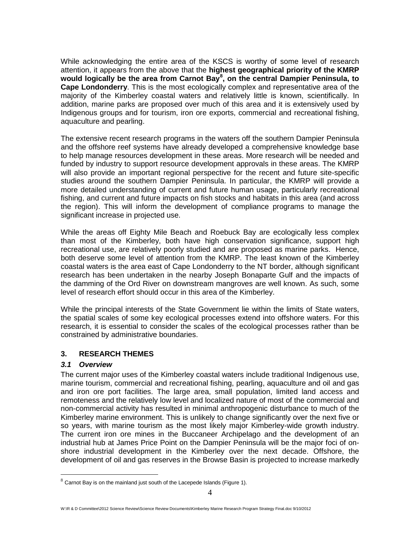While acknowledging the entire area of the KSCS is worthy of some level of research attention, it appears from the above that the **highest geographical priority of the KMRP would logically be the area from Carnot Bay[8](#page-4-0) , on the central Dampier Peninsula, to Cape Londonderry**. This is the most ecologically complex and representative area of the majority of the Kimberley coastal waters and relatively little is known, scientifically. In addition, marine parks are proposed over much of this area and it is extensively used by Indigenous groups and for tourism, iron ore exports, commercial and recreational fishing, aquaculture and pearling.

The extensive recent research programs in the waters off the southern Dampier Peninsula and the offshore reef systems have already developed a comprehensive knowledge base to help manage resources development in these areas. More research will be needed and funded by industry to support resource development approvals in these areas. The KMRP will also provide an important regional perspective for the recent and future site-specific studies around the southern Dampier Peninsula. In particular, the KMRP will provide a more detailed understanding of current and future human usage, particularly recreational fishing, and current and future impacts on fish stocks and habitats in this area (and across the region). This will inform the development of compliance programs to manage the significant increase in projected use.

While the areas off Eighty Mile Beach and Roebuck Bay are ecologically less complex than most of the Kimberley, both have high conservation significance, support high recreational use, are relatively poorly studied and are proposed as marine parks. Hence, both deserve some level of attention from the KMRP. The least known of the Kimberley coastal waters is the area east of Cape Londonderry to the NT border, although significant research has been undertaken in the nearby Joseph Bonaparte Gulf and the impacts of the damming of the Ord River on downstream mangroves are well known. As such, some level of research effort should occur in this area of the Kimberley.

While the principal interests of the State Government lie within the limits of State waters, the spatial scales of some key ecological processes extend into offshore waters. For this research, it is essential to consider the scales of the ecological processes rather than be constrained by administrative boundaries.

### **3. RESEARCH THEMES**

### *3.1 Overview*

The current major uses of the Kimberley coastal waters include traditional Indigenous use, marine tourism, commercial and recreational fishing, pearling, aquaculture and oil and gas and iron ore port facilities. The large area, small population, limited land access and remoteness and the relatively low level and localized nature of most of the commercial and non-commercial activity has resulted in minimal anthropogenic disturbance to much of the Kimberley marine environment. This is unlikely to change significantly over the next five or so years, with marine tourism as the most likely major Kimberley-wide growth industry. The current iron ore mines in the Buccaneer Archipelago and the development of an industrial hub at James Price Point on the Dampier Peninsula will be the major foci of onshore industrial development in the Kimberley over the next decade. Offshore, the development of oil and gas reserves in the Browse Basin is projected to increase markedly

<span id="page-4-0"></span> $8$  Carnot Bay is on the mainland just south of the Lacepede Islands (Figure 1).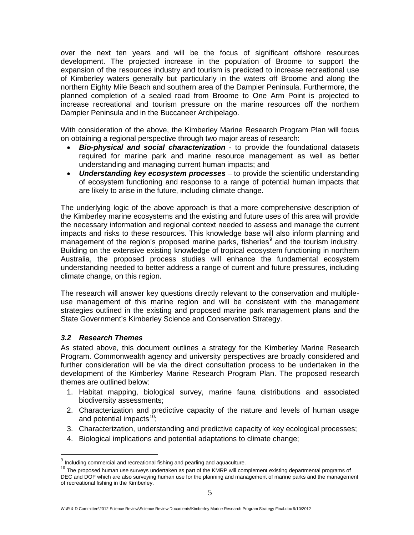over the next ten years and will be the focus of significant offshore resources development. The projected increase in the population of Broome to support the expansion of the resources industry and tourism is predicted to increase recreational use of Kimberley waters generally but particularly in the waters off Broome and along the northern Eighty Mile Beach and southern area of the Dampier Peninsula. Furthermore, the planned completion of a sealed road from Broome to One Arm Point is projected to increase recreational and tourism pressure on the marine resources off the northern Dampier Peninsula and in the Buccaneer Archipelago.

With consideration of the above, the Kimberley Marine Research Program Plan will focus on obtaining a regional perspective through two major areas of research:

- *Bio-physical and social characterization* to provide the foundational datasets required for marine park and marine resource management as well as better understanding and managing current human impacts; and
- *Understanding key ecosystem processes* to provide the scientific understanding of ecosystem functioning and response to a range of potential human impacts that are likely to arise in the future, including climate change.

The underlying logic of the above approach is that a more comprehensive description of the Kimberley marine ecosystems and the existing and future uses of this area will provide the necessary information and regional context needed to assess and manage the current impacts and risks to these resources. This knowledge base will also inform planning and management of the region's proposed marine parks, fisheries<sup>[9](#page-5-0)</sup> and the tourism industry. Building on the extensive existing knowledge of tropical ecosystem functioning in northern Australia, the proposed process studies will enhance the fundamental ecosystem understanding needed to better address a range of current and future pressures, including climate change, on this region.

The research will answer key questions directly relevant to the conservation and multipleuse management of this marine region and will be consistent with the management strategies outlined in the existing and proposed marine park management plans and the State Government's Kimberley Science and Conservation Strategy.

### *3.2 Research Themes*

As stated above, this document outlines a strategy for the Kimberley Marine Research Program. Commonwealth agency and university perspectives are broadly considered and further consideration will be via the direct consultation process to be undertaken in the development of the Kimberley Marine Research Program Plan. The proposed research themes are outlined below:

- 1. Habitat mapping, biological survey, marine fauna distributions and associated biodiversity assessments;
- 2. Characterization and predictive capacity of the nature and levels of human usage and potential impacts $10$ ;
- 3. Characterization, understanding and predictive capacity of key ecological processes;
- 4. Biological implications and potential adaptations to climate change;

<span id="page-5-0"></span> $9$  Including commercial and recreational fishing and pearling and aquaculture.

<span id="page-5-1"></span><sup>&</sup>lt;sup>10</sup> The proposed human use surveys undertaken as part of the KMRP will complement existing departmental programs of DEC and DOF which are also surveying human use for the planning and management of marine parks and the management of recreational fishing in the Kimberley.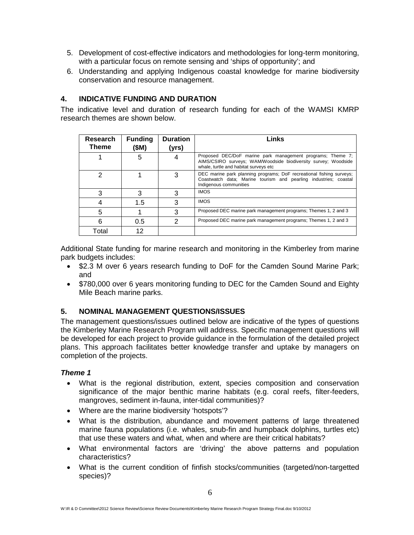- 5. Development of cost-effective indicators and methodologies for long-term monitoring, with a particular focus on remote sensing and 'ships of opportunity'; and
- 6. Understanding and applying Indigenous coastal knowledge for marine biodiversity conservation and resource management.

# **4. INDICATIVE FUNDING AND DURATION**

The indicative level and duration of research funding for each of the WAMSI KMRP research themes are shown below.

| Research<br>Theme | <b>Funding</b><br>(\$M) | <b>Duration</b><br>(yrs) | Links                                                                                                                                                                 |
|-------------------|-------------------------|--------------------------|-----------------------------------------------------------------------------------------------------------------------------------------------------------------------|
|                   | 5                       |                          | Proposed DEC/DoF marine park management programs; Theme 7;<br>AIMS/CSIRO surveys; WAM/Woodside biodiversity survey; Woodside<br>whale, turtle and habitat surveys etc |
| っ                 |                         |                          | DEC marine park planning programs; DoF recreational fishing surveys;<br>Coastwatch data; Marine tourism and pearling industries; coastal<br>Indigenous communities    |
| 3                 | 3                       |                          | <b>IMOS</b>                                                                                                                                                           |
|                   | 1.5                     | з                        | <b>IMOS</b>                                                                                                                                                           |
| 5                 |                         | 3                        | Proposed DEC marine park management programs; Themes 1, 2 and 3                                                                                                       |
| հ                 | 0.5                     |                          | Proposed DEC marine park management programs; Themes 1, 2 and 3                                                                                                       |
| Total             | 12                      |                          |                                                                                                                                                                       |

Additional State funding for marine research and monitoring in the Kimberley from marine park budgets includes:

- \$2.3 M over 6 years research funding to DoF for the Camden Sound Marine Park; and
- \$780,000 over 6 years monitoring funding to DEC for the Camden Sound and Eighty Mile Beach marine parks.

### **5. NOMINAL MANAGEMENT QUESTIONS/ISSUES**

The management questions/issues outlined below are indicative of the types of questions the Kimberley Marine Research Program will address. Specific management questions will be developed for each project to provide guidance in the formulation of the detailed project plans. This approach facilitates better knowledge transfer and uptake by managers on completion of the projects.

### *Theme 1*

- What is the regional distribution, extent, species composition and conservation significance of the major benthic marine habitats (e.g. coral reefs, filter-feeders, mangroves, sediment in-fauna, inter-tidal communities)?
- Where are the marine biodiversity 'hotspots'?
- What is the distribution, abundance and movement patterns of large threatened marine fauna populations (i.e. whales, snub-fin and humpback dolphins, turtles etc) that use these waters and what, when and where are their critical habitats?
- What environmental factors are 'driving' the above patterns and population characteristics?
- What is the current condition of finfish stocks/communities (targeted/non-targetted species)?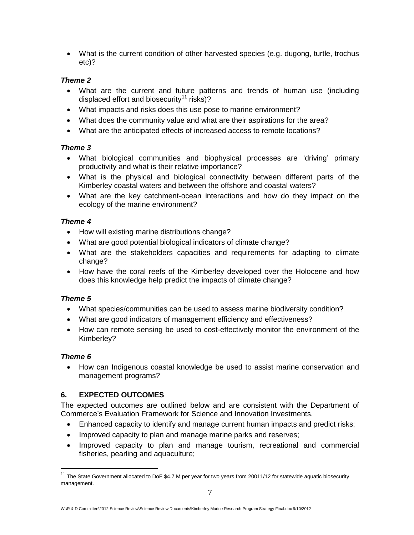• What is the current condition of other harvested species (e.g. dugong, turtle, trochus etc)?

## *Theme 2*

- What are the current and future patterns and trends of human use (including displaced effort and biosecurity<sup>[11](#page-7-0)</sup> risks)?
- What impacts and risks does this use pose to marine environment?
- What does the community value and what are their aspirations for the area?
- What are the anticipated effects of increased access to remote locations?

## *Theme 3*

- What biological communities and biophysical processes are 'driving' primary productivity and what is their relative importance?
- What is the physical and biological connectivity between different parts of the Kimberley coastal waters and between the offshore and coastal waters?
- What are the key catchment-ocean interactions and how do they impact on the ecology of the marine environment?

## *Theme 4*

- How will existing marine distributions change?
- What are good potential biological indicators of climate change?
- What are the stakeholders capacities and requirements for adapting to climate change?
- How have the coral reefs of the Kimberley developed over the Holocene and how does this knowledge help predict the impacts of climate change?

# *Theme 5*

- What species/communities can be used to assess marine biodiversity condition?
- What are good indicators of management efficiency and effectiveness?
- How can remote sensing be used to cost-effectively monitor the environment of the Kimberley?

### *Theme 6*

• How can Indigenous coastal knowledge be used to assist marine conservation and management programs?

# **6. EXPECTED OUTCOMES**

The expected outcomes are outlined below and are consistent with the Department of Commerce's Evaluation Framework for Science and Innovation Investments.

- Enhanced capacity to identify and manage current human impacts and predict risks;
- Improved capacity to plan and manage marine parks and reserves;
- Improved capacity to plan and manage tourism, recreational and commercial fisheries, pearling and aquaculture;

<span id="page-7-0"></span> $11$  The State Government allocated to DoF \$4.7 M per year for two years from 20011/12 for statewide aquatic biosecurity management.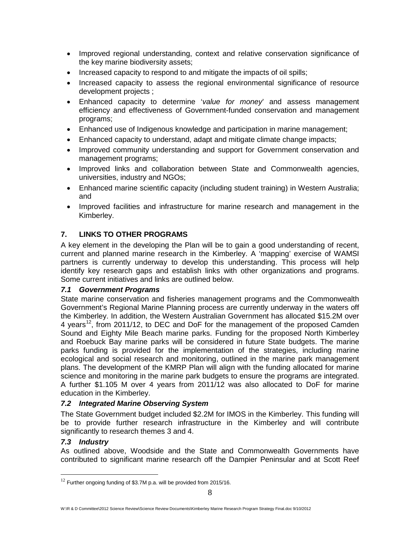- Improved regional understanding, context and relative conservation significance of the key marine biodiversity assets;
- Increased capacity to respond to and mitigate the impacts of oil spills;
- Increased capacity to assess the regional environmental significance of resource development projects ;
- Enhanced capacity to determine '*value for money*' and assess management efficiency and effectiveness of Government-funded conservation and management programs;
- Enhanced use of Indigenous knowledge and participation in marine management;
- Enhanced capacity to understand, adapt and mitigate climate change impacts;
- Improved community understanding and support for Government conservation and management programs;
- Improved links and collaboration between State and Commonwealth agencies, universities, industry and NGOs;
- Enhanced marine scientific capacity (including student training) in Western Australia; and
- Improved facilities and infrastructure for marine research and management in the Kimberley.

# **7. LINKS TO OTHER PROGRAMS**

A key element in the developing the Plan will be to gain a good understanding of recent, current and planned marine research in the Kimberley. A 'mapping' exercise of WAMSI partners is currently underway to develop this understanding. This process will help identify key research gaps and establish links with other organizations and programs. Some current initiatives and links are outlined below.

### *7.1 Government Programs*

State marine conservation and fisheries management programs and the Commonwealth Government's Regional Marine Planning process are currently underway in the waters off the Kimberley. In addition, the Western Australian Government has allocated \$15.2M over 4 years<sup>[12](#page-8-0)</sup>, from 2011/12, to DEC and DoF for the management of the proposed Camden Sound and Eighty Mile Beach marine parks. Funding for the proposed North Kimberley and Roebuck Bay marine parks will be considered in future State budgets. The marine parks funding is provided for the implementation of the strategies, including marine ecological and social research and monitoring, outlined in the marine park management plans. The development of the KMRP Plan will align with the funding allocated for marine science and monitoring in the marine park budgets to ensure the programs are integrated. A further \$1.105 M over 4 years from 2011/12 was also allocated to DoF for marine education in the Kimberley.

### *7.2 Integrated Marine Observing System*

The State Government budget included \$2.2M for IMOS in the Kimberley. This funding will be to provide further research infrastructure in the Kimberley and will contribute significantly to research themes 3 and 4.

### *7.3 Industry*

As outlined above, Woodside and the State and Commonwealth Governments have contributed to significant marine research off the Dampier Peninsular and at Scott Reef

<span id="page-8-0"></span> $12$  Further ongoing funding of \$3.7M p.a. will be provided from 2015/16.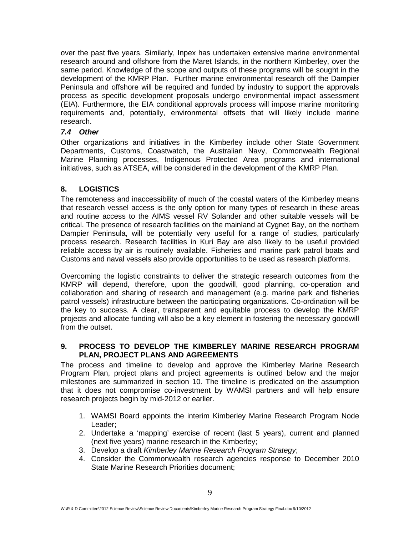over the past five years. Similarly, Inpex has undertaken extensive marine environmental research around and offshore from the Maret Islands, in the northern Kimberley, over the same period. Knowledge of the scope and outputs of these programs will be sought in the development of the KMRP Plan. Further marine environmental research off the Dampier Peninsula and offshore will be required and funded by industry to support the approvals process as specific development proposals undergo environmental impact assessment (EIA). Furthermore, the EIA conditional approvals process will impose marine monitoring requirements and, potentially, environmental offsets that will likely include marine research.

### *7.4 Other*

Other organizations and initiatives in the Kimberley include other State Government Departments, Customs, Coastwatch, the Australian Navy, Commonwealth Regional Marine Planning processes, Indigenous Protected Area programs and international initiatives, such as ATSEA, will be considered in the development of the KMRP Plan.

### **8. LOGISTICS**

The remoteness and inaccessibility of much of the coastal waters of the Kimberley means that research vessel access is the only option for many types of research in these areas and routine access to the AIMS vessel RV Solander and other suitable vessels will be critical. The presence of research facilities on the mainland at Cygnet Bay, on the northern Dampier Peninsula, will be potentially very useful for a range of studies, particularly process research. Research facilities in Kuri Bay are also likely to be useful provided reliable access by air is routinely available. Fisheries and marine park patrol boats and Customs and naval vessels also provide opportunities to be used as research platforms.

Overcoming the logistic constraints to deliver the strategic research outcomes from the KMRP will depend, therefore, upon the goodwill, good planning, co-operation and collaboration and sharing of research and management (e.g. marine park and fisheries patrol vessels) infrastructure between the participating organizations. Co-ordination will be the key to success. A clear, transparent and equitable process to develop the KMRP projects and allocate funding will also be a key element in fostering the necessary goodwill from the outset.

### **9. PROCESS TO DEVELOP THE KIMBERLEY MARINE RESEARCH PROGRAM PLAN, PROJECT PLANS AND AGREEMENTS**

The process and timeline to develop and approve the Kimberley Marine Research Program Plan, project plans and project agreements is outlined below and the major milestones are summarized in section 10. The timeline is predicated on the assumption that it does not compromise co-investment by WAMSI partners and will help ensure research projects begin by mid-2012 or earlier.

- 1. WAMSI Board appoints the interim Kimberley Marine Research Program Node Leader;
- 2. Undertake a 'mapping' exercise of recent (last 5 years), current and planned (next five years) marine research in the Kimberley;
- 3. Develop a draft *Kimberley Marine Research Program Strategy*;
- 4. Consider the Commonwealth research agencies response to December 2010 State Marine Research Priorities document;